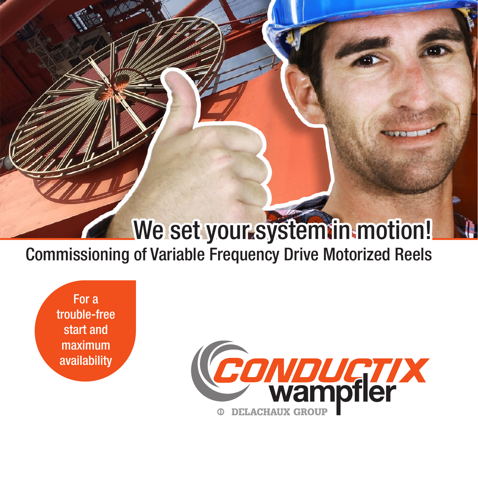## We set your system in motion!

## Commissioning of Variable Frequency Drive Motorized Reels

For a trouble-free start and maximum availability

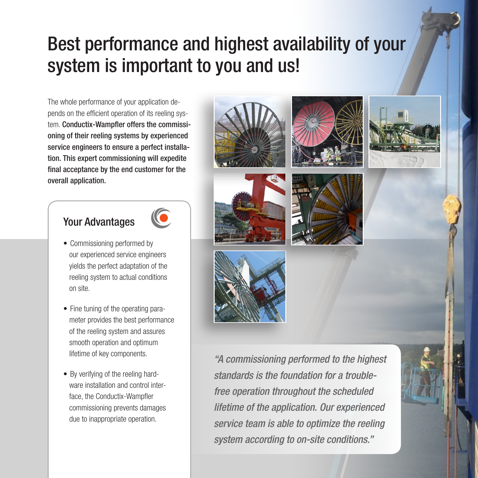## Best performance and highest availability of your system is important to you and us!

The whole performance of your application depends on the efficient operation of its reeling system. Conductix-Wampfler offers the commissioning of their reeling systems by experienced service engineers to ensure a perfect installation. This expert commissioning will expedite final acceptance by the end customer for the overall application.

### Your Advantages



- Commissioning performed by our experienced service engineers yields the perfect adaptation of the reeling system to actual conditions on site.
- Fine tuning of the operating parameter provides the best performance of the reeling system and assures smooth operation and optimum lifetime of key components.
- By verifying of the reeling hardware installation and control interface, the Conductix-Wampfler commissioning prevents damages due to inappropriate operation.













"A commissioning performed to the highest standards is the foundation for a troublefree operation throughout the scheduled lifetime of the application. Our experienced service team is able to optimize the reeling system according to on-site conditions."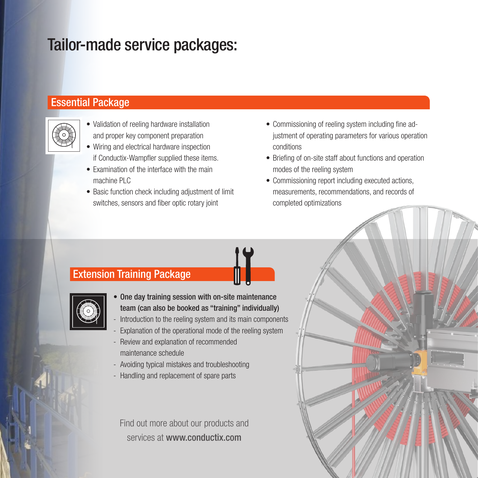## Tailor-made service packages:

#### Essential Package



- Validation of reeling hardware installation and proper key component preparation
- Wiring and electrical hardware inspection if Conductix-Wampfler supplied these items.
- Examination of the interface with the main machine PLC
- Basic function check including adjustment of limit switches, sensors and fiber optic rotary joint
- Commissioning of reeling system including fine adjustment of operating parameters for various operation conditions
- Briefing of on-site staff about functions and operation modes of the reeling system
- Commissioning report including executed actions, measurements, recommendations, and records of completed optimizations

### Extension Training Package



- One day training session with on-site maintenance team (can also be booked as "training" individually)
- Introduction to the reeling system and its main components
- Explanation of the operational mode of the reeling system
- Review and explanation of recommended maintenance schedule
- Avoiding typical mistakes and troubleshooting
- Handling and replacement of spare parts

Find out more about our products and services at www.conductix.com